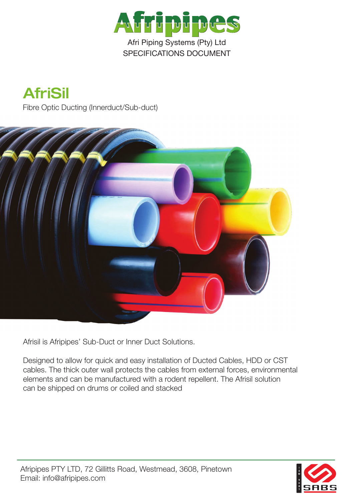





Afrisil is Afripipes' Sub-Duct or Inner Duct Solutions.

Designed to allow for quick and easy installation of Ducted Cables, HDD or CST cables. The thick outer wall protects the cables from external forces, environmental elements and can be manufactured with a rodent repellent. The Afrisil solution can be shipped on drums or coiled and stacked